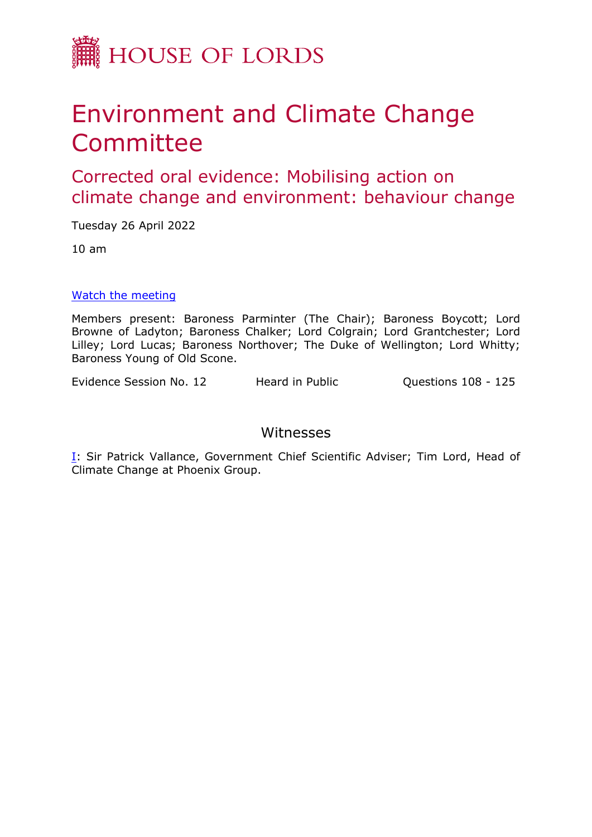

## Environment and Climate Change Committee

Corrected oral evidence: Mobilising action on climate change and environment: behaviour change

Tuesday 26 April 2022

10 am

## [Watch](https://parliamentlive.tv/event/index/929b07e0-8bfb-4b7e-96a6-b6ddf2e74d97) [the](https://parliamentlive.tv/event/index/929b07e0-8bfb-4b7e-96a6-b6ddf2e74d97) [meeting](https://parliamentlive.tv/event/index/929b07e0-8bfb-4b7e-96a6-b6ddf2e74d97)

Members present: Baroness Parminter (The Chair); Baroness Boycott; Lord Browne of Ladyton; Baroness Chalker; Lord Colgrain; Lord Grantchester; Lord Lilley; Lord Lucas; Baroness Northover; The Duke of Wellington; Lord Whitty; Baroness Young of Old Scone.

Evidence Session No. 12 Heard in Public Questions 108 - 125

## Witnesses

[I:](#page-1-0) Sir Patrick Vallance, Government Chief Scientific Adviser; Tim Lord, Head of Climate Change at Phoenix Group.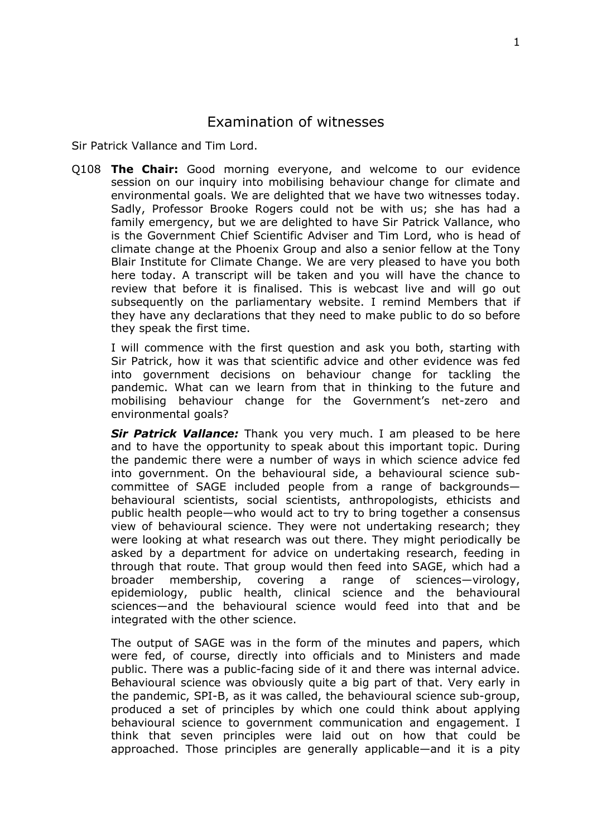## <span id="page-1-0"></span>Examination of witnesses

Sir Patrick Vallance and Tim Lord.

Q108 **The Chair:** Good morning everyone, and welcome to our evidence session on our inquiry into mobilising behaviour change for climate and environmental goals. We are delighted that we have two witnesses today. Sadly, Professor Brooke Rogers could not be with us; she has had a family emergency, but we are delighted to have Sir Patrick Vallance, who is the Government Chief Scientific Adviser and Tim Lord, who is head of climate change at the Phoenix Group and also a senior fellow at the Tony Blair Institute for Climate Change. We are very pleased to have you both here today. A transcript will be taken and you will have the chance to review that before it is finalised. This is webcast live and will go out subsequently on the parliamentary website. I remind Members that if they have any declarations that they need to make public to do so before they speak the first time.

I will commence with the first question and ask you both, starting with Sir Patrick, how it was that scientific advice and other evidence was fed into government decisions on behaviour change for tackling the pandemic. What can we learn from that in thinking to the future and mobilising behaviour change for the Government's net-zero and environmental goals?

*Sir Patrick Vallance:* Thank you very much. I am pleased to be here and to have the opportunity to speak about this important topic. During the pandemic there were a number of ways in which science advice fed into government. On the behavioural side, a behavioural science subcommittee of SAGE included people from a range of backgrounds behavioural scientists, social scientists, anthropologists, ethicists and public health people—who would act to try to bring together a consensus view of behavioural science. They were not undertaking research; they were looking at what research was out there. They might periodically be asked by a department for advice on undertaking research, feeding in through that route. That group would then feed into SAGE, which had a broader membership, covering a range of sciences—virology, epidemiology, public health, clinical science and the behavioural sciences—and the behavioural science would feed into that and be integrated with the other science.

The output of SAGE was in the form of the minutes and papers, which were fed, of course, directly into officials and to Ministers and made public. There was a public-facing side of it and there was internal advice. Behavioural science was obviously quite a big part of that. Very early in the pandemic, SPI-B, as it was called, the behavioural science sub-group, produced a set of principles by which one could think about applying behavioural science to government communication and engagement. I think that seven principles were laid out on how that could be approached. Those principles are generally applicable—and it is a pity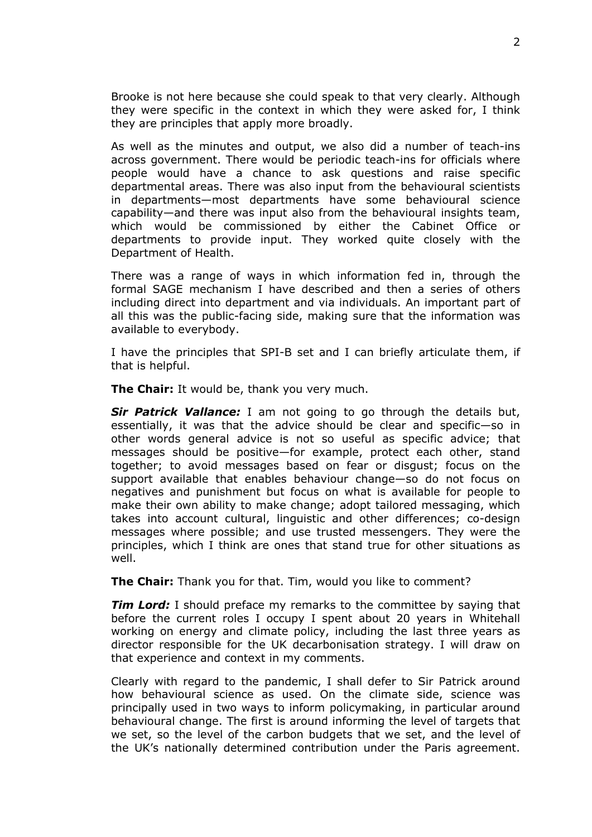Brooke is not here because she could speak to that very clearly. Although they were specific in the context in which they were asked for, I think they are principles that apply more broadly.

As well as the minutes and output, we also did a number of teach-ins across government. There would be periodic teach-ins for officials where people would have a chance to ask questions and raise specific departmental areas. There was also input from the behavioural scientists in departments—most departments have some behavioural science capability—and there was input also from the behavioural insights team, which would be commissioned by either the Cabinet Office or departments to provide input. They worked quite closely with the Department of Health.

There was a range of ways in which information fed in, through the formal SAGE mechanism I have described and then a series of others including direct into department and via individuals. An important part of all this was the public-facing side, making sure that the information was available to everybody.

I have the principles that SPI-B set and I can briefly articulate them, if that is helpful.

**The Chair:** It would be, thank you very much.

*Sir Patrick Vallance:* I am not going to go through the details but, essentially, it was that the advice should be clear and specific—so in other words general advice is not so useful as specific advice; that messages should be positive—for example, protect each other, stand together; to avoid messages based on fear or disgust; focus on the support available that enables behaviour change—so do not focus on negatives and punishment but focus on what is available for people to make their own ability to make change; adopt tailored messaging, which takes into account cultural, linguistic and other differences; co-design messages where possible; and use trusted messengers. They were the principles, which I think are ones that stand true for other situations as well.

**The Chair:** Thank you for that. Tim, would you like to comment?

*Tim Lord:* I should preface my remarks to the committee by saying that before the current roles I occupy I spent about 20 years in Whitehall working on energy and climate policy, including the last three years as director responsible for the UK decarbonisation strategy. I will draw on that experience and context in my comments.

Clearly with regard to the pandemic, I shall defer to Sir Patrick around how behavioural science as used. On the climate side, science was principally used in two ways to inform policymaking, in particular around behavioural change. The first is around informing the level of targets that we set, so the level of the carbon budgets that we set, and the level of the UK's nationally determined contribution under the Paris agreement.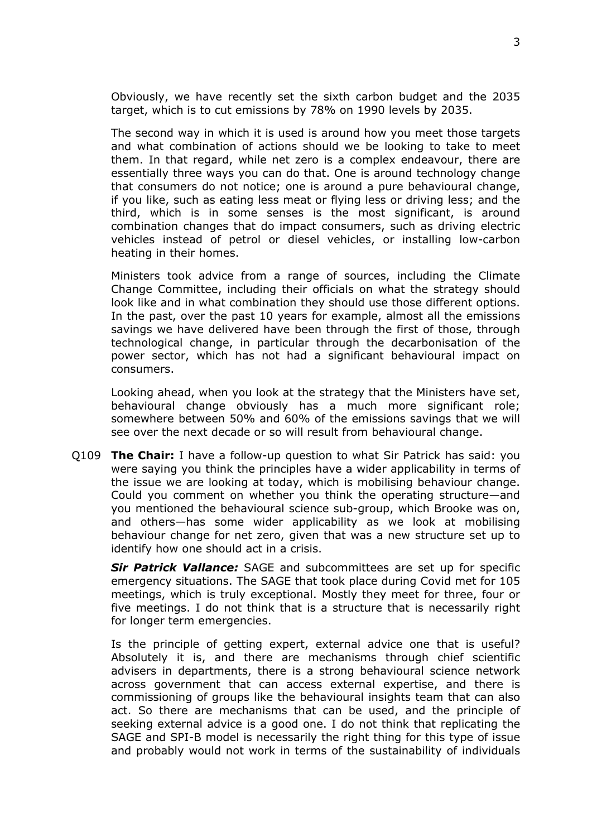Obviously, we have recently set the sixth carbon budget and the 2035 target, which is to cut emissions by 78% on 1990 levels by 2035.

The second way in which it is used is around how you meet those targets and what combination of actions should we be looking to take to meet them. In that regard, while net zero is a complex endeavour, there are essentially three ways you can do that. One is around technology change that consumers do not notice; one is around a pure behavioural change, if you like, such as eating less meat or flying less or driving less; and the third, which is in some senses is the most significant, is around combination changes that do impact consumers, such as driving electric vehicles instead of petrol or diesel vehicles, or installing low-carbon heating in their homes.

Ministers took advice from a range of sources, including the Climate Change Committee, including their officials on what the strategy should look like and in what combination they should use those different options. In the past, over the past 10 years for example, almost all the emissions savings we have delivered have been through the first of those, through technological change, in particular through the decarbonisation of the power sector, which has not had a significant behavioural impact on consumers.

Looking ahead, when you look at the strategy that the Ministers have set, behavioural change obviously has a much more significant role; somewhere between 50% and 60% of the emissions savings that we will see over the next decade or so will result from behavioural change.

Q109 **The Chair:** I have a follow-up question to what Sir Patrick has said: you were saying you think the principles have a wider applicability in terms of the issue we are looking at today, which is mobilising behaviour change. Could you comment on whether you think the operating structure—and you mentioned the behavioural science sub-group, which Brooke was on, and others—has some wider applicability as we look at mobilising behaviour change for net zero, given that was a new structure set up to identify how one should act in a crisis.

*Sir Patrick Vallance:* SAGE and subcommittees are set up for specific emergency situations. The SAGE that took place during Covid met for 105 meetings, which is truly exceptional. Mostly they meet for three, four or five meetings. I do not think that is a structure that is necessarily right for longer term emergencies.

Is the principle of getting expert, external advice one that is useful? Absolutely it is, and there are mechanisms through chief scientific advisers in departments, there is a strong behavioural science network across government that can access external expertise, and there is commissioning of groups like the behavioural insights team that can also act. So there are mechanisms that can be used, and the principle of seeking external advice is a good one. I do not think that replicating the SAGE and SPI-B model is necessarily the right thing for this type of issue and probably would not work in terms of the sustainability of individuals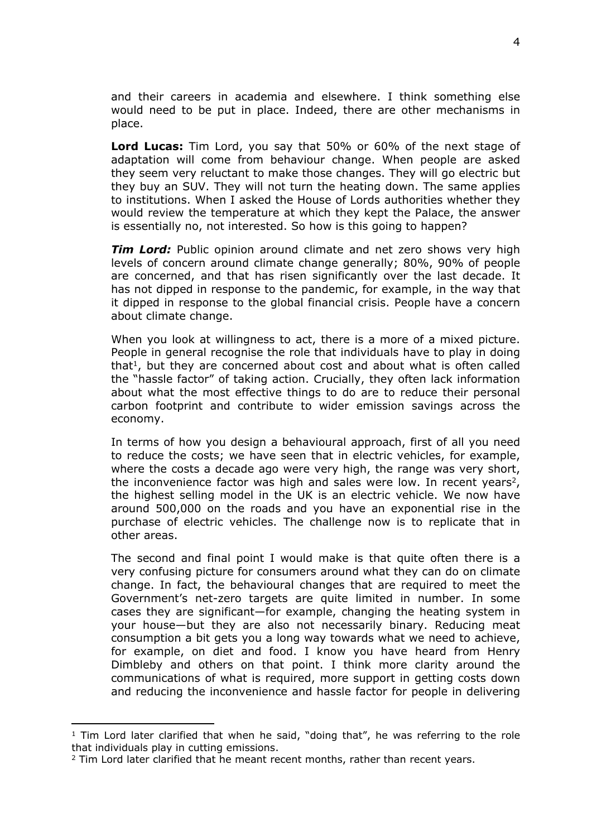and their careers in academia and elsewhere. I think something else would need to be put in place. Indeed, there are other mechanisms in place.

**Lord Lucas:** Tim Lord, you say that 50% or 60% of the next stage of adaptation will come from behaviour change. When people are asked they seem very reluctant to make those changes. They will go electric but they buy an SUV. They will not turn the heating down. The same applies to institutions. When I asked the House of Lords authorities whether they would review the temperature at which they kept the Palace, the answer is essentially no, not interested. So how is this going to happen?

*Tim Lord:* Public opinion around climate and net zero shows very high levels of concern around climate change generally; 80%, 90% of people are concerned, and that has risen significantly over the last decade. It has not dipped in response to the pandemic, for example, in the way that it dipped in response to the global financial crisis. People have a concern about climate change.

When you look at willingness to act, there is a more of a mixed picture. People in general recognise the role that individuals have to play in doing that<sup>1</sup>, but they are concerned about cost and about what is often called the "hassle factor" of taking action. Crucially, they often lack information about what the most effective things to do are to reduce their personal carbon footprint and contribute to wider emission savings across the economy.

In terms of how you design a behavioural approach, first of all you need to reduce the costs; we have seen that in electric vehicles, for example, where the costs a decade ago were very high, the range was very short, the inconvenience factor was high and sales were low. In recent years<sup>2</sup>, the highest selling model in the UK is an electric vehicle. We now have around 500,000 on the roads and you have an exponential rise in the purchase of electric vehicles. The challenge now is to replicate that in other areas.

The second and final point I would make is that quite often there is a very confusing picture for consumers around what they can do on climate change. In fact, the behavioural changes that are required to meet the Government's net-zero targets are quite limited in number. In some cases they are significant—for example, changing the heating system in your house—but they are also not necessarily binary. Reducing meat consumption a bit gets you a long way towards what we need to achieve, for example, on diet and food. I know you have heard from Henry Dimbleby and others on that point. I think more clarity around the communications of what is required, more support in getting costs down and reducing the inconvenience and hassle factor for people in delivering

 $1$  Tim Lord later clarified that when he said, "doing that", he was referring to the role that individuals play in cutting emissions.

<sup>&</sup>lt;sup>2</sup> Tim Lord later clarified that he meant recent months, rather than recent years.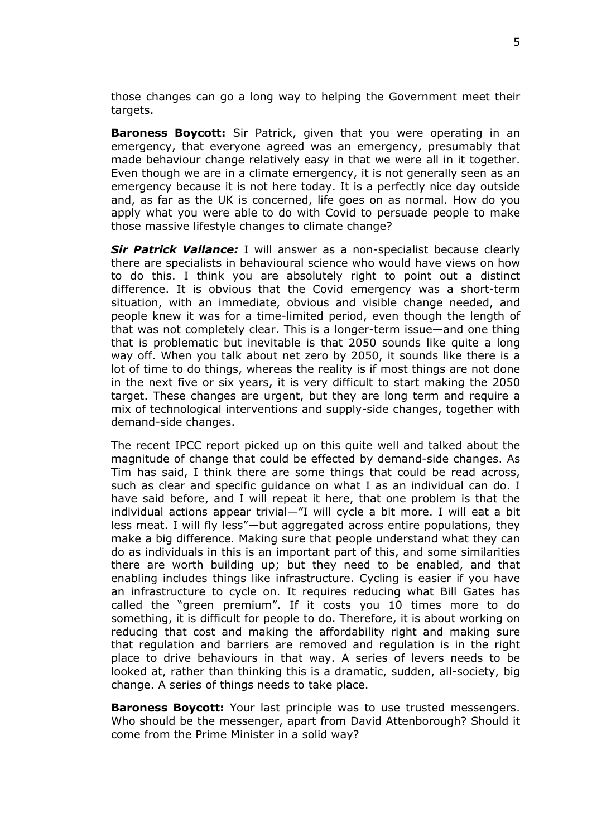those changes can go a long way to helping the Government meet their targets.

**Baroness Boycott:** Sir Patrick, given that you were operating in an emergency, that everyone agreed was an emergency, presumably that made behaviour change relatively easy in that we were all in it together. Even though we are in a climate emergency, it is not generally seen as an emergency because it is not here today. It is a perfectly nice day outside and, as far as the UK is concerned, life goes on as normal. How do you apply what you were able to do with Covid to persuade people to make those massive lifestyle changes to climate change?

*Sir Patrick Vallance:* I will answer as a non-specialist because clearly there are specialists in behavioural science who would have views on how to do this. I think you are absolutely right to point out a distinct difference. It is obvious that the Covid emergency was a short-term situation, with an immediate, obvious and visible change needed, and people knew it was for a time-limited period, even though the length of that was not completely clear. This is a longer-term issue—and one thing that is problematic but inevitable is that 2050 sounds like quite a long way off. When you talk about net zero by 2050, it sounds like there is a lot of time to do things, whereas the reality is if most things are not done in the next five or six years, it is very difficult to start making the 2050 target. These changes are urgent, but they are long term and require a mix of technological interventions and supply-side changes, together with demand-side changes.

The recent IPCC report picked up on this quite well and talked about the magnitude of change that could be effected by demand-side changes. As Tim has said, I think there are some things that could be read across, such as clear and specific guidance on what I as an individual can do. I have said before, and I will repeat it here, that one problem is that the individual actions appear trivial—"I will cycle a bit more. I will eat a bit less meat. I will fly less"—but aggregated across entire populations, they make a big difference. Making sure that people understand what they can do as individuals in this is an important part of this, and some similarities there are worth building up; but they need to be enabled, and that enabling includes things like infrastructure. Cycling is easier if you have an infrastructure to cycle on. It requires reducing what Bill Gates has called the "green premium". If it costs you 10 times more to do something, it is difficult for people to do. Therefore, it is about working on reducing that cost and making the affordability right and making sure that regulation and barriers are removed and regulation is in the right place to drive behaviours in that way. A series of levers needs to be looked at, rather than thinking this is a dramatic, sudden, all-society, big change. A series of things needs to take place.

**Baroness Boycott:** Your last principle was to use trusted messengers. Who should be the messenger, apart from David Attenborough? Should it come from the Prime Minister in a solid way?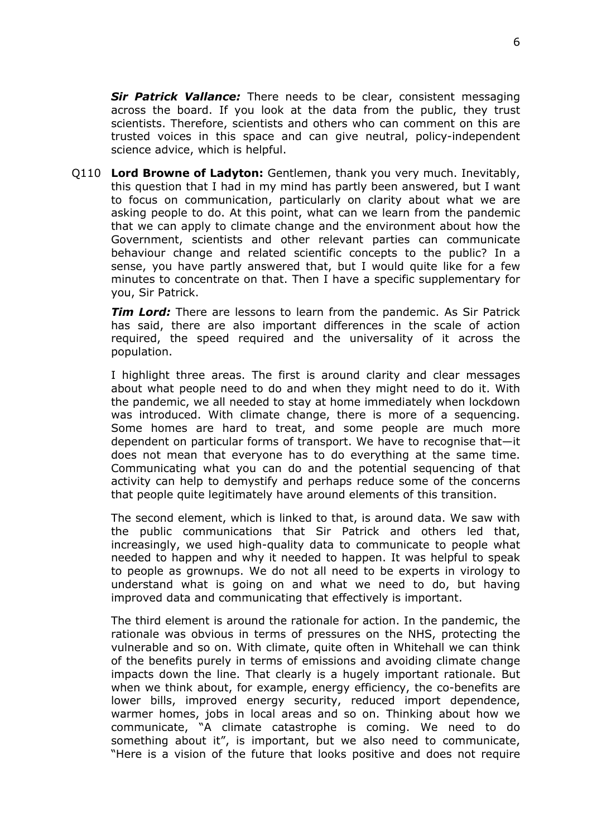*Sir Patrick Vallance:* There needs to be clear, consistent messaging across the board. If you look at the data from the public, they trust scientists. Therefore, scientists and others who can comment on this are trusted voices in this space and can give neutral, policy-independent science advice, which is helpful.

Q110 **Lord Browne of Ladyton:** Gentlemen, thank you very much. Inevitably, this question that I had in my mind has partly been answered, but I want to focus on communication, particularly on clarity about what we are asking people to do. At this point, what can we learn from the pandemic that we can apply to climate change and the environment about how the Government, scientists and other relevant parties can communicate behaviour change and related scientific concepts to the public? In a sense, you have partly answered that, but I would quite like for a few minutes to concentrate on that. Then I have a specific supplementary for you, Sir Patrick.

*Tim Lord:* There are lessons to learn from the pandemic. As Sir Patrick has said, there are also important differences in the scale of action required, the speed required and the universality of it across the population.

I highlight three areas. The first is around clarity and clear messages about what people need to do and when they might need to do it. With the pandemic, we all needed to stay at home immediately when lockdown was introduced. With climate change, there is more of a sequencing. Some homes are hard to treat, and some people are much more dependent on particular forms of transport. We have to recognise that—it does not mean that everyone has to do everything at the same time. Communicating what you can do and the potential sequencing of that activity can help to demystify and perhaps reduce some of the concerns that people quite legitimately have around elements of this transition.

The second element, which is linked to that, is around data. We saw with the public communications that Sir Patrick and others led that, increasingly, we used high-quality data to communicate to people what needed to happen and why it needed to happen. It was helpful to speak to people as grownups. We do not all need to be experts in virology to understand what is going on and what we need to do, but having improved data and communicating that effectively is important.

The third element is around the rationale for action. In the pandemic, the rationale was obvious in terms of pressures on the NHS, protecting the vulnerable and so on. With climate, quite often in Whitehall we can think of the benefits purely in terms of emissions and avoiding climate change impacts down the line. That clearly is a hugely important rationale. But when we think about, for example, energy efficiency, the co-benefits are lower bills, improved energy security, reduced import dependence, warmer homes, jobs in local areas and so on. Thinking about how we communicate, "A climate catastrophe is coming. We need to do something about it", is important, but we also need to communicate, "Here is a vision of the future that looks positive and does not require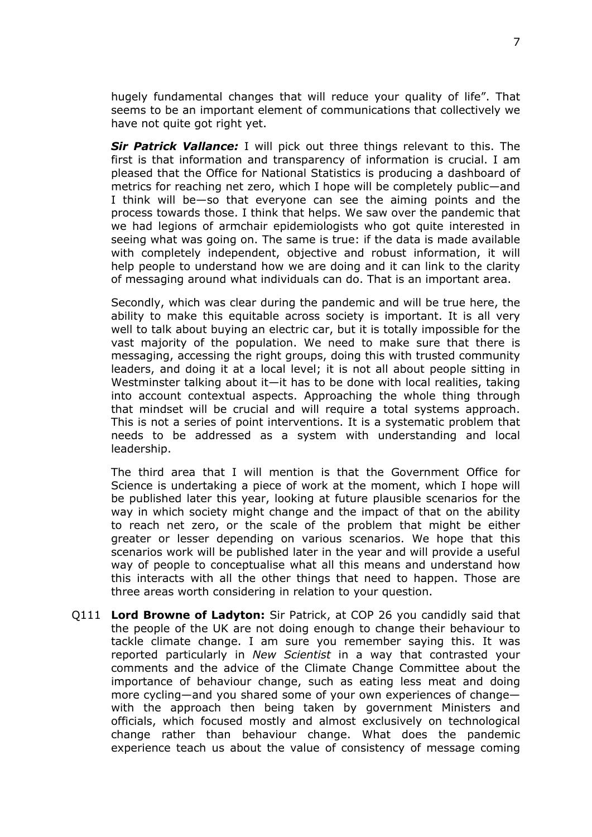hugely fundamental changes that will reduce your quality of life". That seems to be an important element of communications that collectively we have not quite got right yet.

*Sir Patrick Vallance:* I will pick out three things relevant to this. The first is that information and transparency of information is crucial. I am pleased that the Office for National Statistics is producing a dashboard of metrics for reaching net zero, which I hope will be completely public—and I think will be—so that everyone can see the aiming points and the process towards those. I think that helps. We saw over the pandemic that we had legions of armchair epidemiologists who got quite interested in seeing what was going on. The same is true: if the data is made available with completely independent, objective and robust information, it will help people to understand how we are doing and it can link to the clarity of messaging around what individuals can do. That is an important area.

Secondly, which was clear during the pandemic and will be true here, the ability to make this equitable across society is important. It is all very well to talk about buying an electric car, but it is totally impossible for the vast majority of the population. We need to make sure that there is messaging, accessing the right groups, doing this with trusted community leaders, and doing it at a local level; it is not all about people sitting in Westminster talking about it—it has to be done with local realities, taking into account contextual aspects. Approaching the whole thing through that mindset will be crucial and will require a total systems approach. This is not a series of point interventions. It is a systematic problem that needs to be addressed as a system with understanding and local leadership.

The third area that I will mention is that the Government Office for Science is undertaking a piece of work at the moment, which I hope will be published later this year, looking at future plausible scenarios for the way in which society might change and the impact of that on the ability to reach net zero, or the scale of the problem that might be either greater or lesser depending on various scenarios. We hope that this scenarios work will be published later in the year and will provide a useful way of people to conceptualise what all this means and understand how this interacts with all the other things that need to happen. Those are three areas worth considering in relation to your question.

Q111 **Lord Browne of Ladyton:** Sir Patrick, at COP 26 you candidly said that the people of the UK are not doing enough to change their behaviour to tackle climate change. I am sure you remember saying this. It was reported particularly in *New Scientist* in a way that contrasted your comments and the advice of the Climate Change Committee about the importance of behaviour change, such as eating less meat and doing more cycling—and you shared some of your own experiences of change with the approach then being taken by government Ministers and officials, which focused mostly and almost exclusively on technological change rather than behaviour change. What does the pandemic experience teach us about the value of consistency of message coming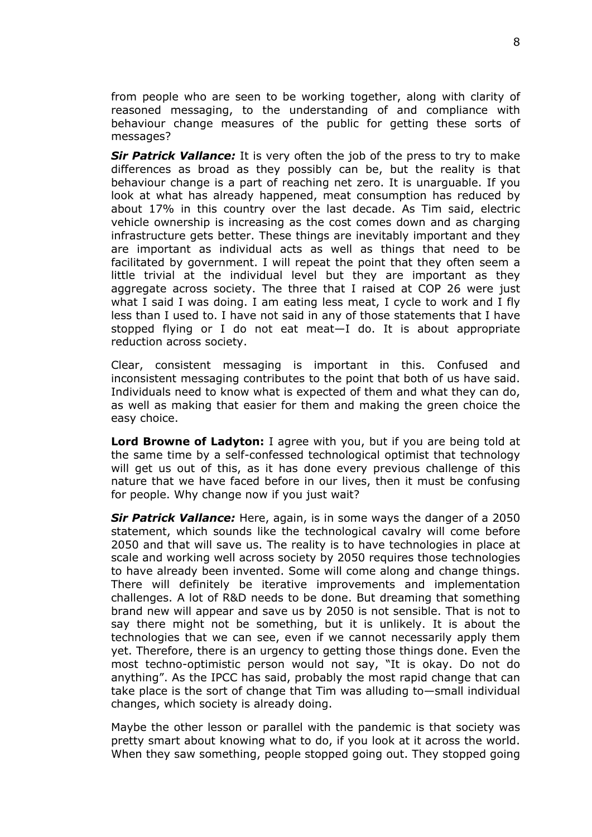from people who are seen to be working together, along with clarity of reasoned messaging, to the understanding of and compliance with behaviour change measures of the public for getting these sorts of messages?

*Sir Patrick Vallance:* It is very often the job of the press to try to make differences as broad as they possibly can be, but the reality is that behaviour change is a part of reaching net zero. It is unarguable. If you look at what has already happened, meat consumption has reduced by about 17% in this country over the last decade. As Tim said, electric vehicle ownership is increasing as the cost comes down and as charging infrastructure gets better. These things are inevitably important and they are important as individual acts as well as things that need to be facilitated by government. I will repeat the point that they often seem a little trivial at the individual level but they are important as they aggregate across society. The three that I raised at COP 26 were just what I said I was doing. I am eating less meat, I cycle to work and I fly less than I used to. I have not said in any of those statements that I have stopped flying or I do not eat meat—I do. It is about appropriate reduction across society.

Clear, consistent messaging is important in this. Confused and inconsistent messaging contributes to the point that both of us have said. Individuals need to know what is expected of them and what they can do, as well as making that easier for them and making the green choice the easy choice.

**Lord Browne of Ladyton:** I agree with you, but if you are being told at the same time by a self-confessed technological optimist that technology will get us out of this, as it has done every previous challenge of this nature that we have faced before in our lives, then it must be confusing for people. Why change now if you just wait?

*Sir Patrick Vallance:* Here, again, is in some ways the danger of a 2050 statement, which sounds like the technological cavalry will come before 2050 and that will save us. The reality is to have technologies in place at scale and working well across society by 2050 requires those technologies to have already been invented. Some will come along and change things. There will definitely be iterative improvements and implementation challenges. A lot of R&D needs to be done. But dreaming that something brand new will appear and save us by 2050 is not sensible. That is not to say there might not be something, but it is unlikely. It is about the technologies that we can see, even if we cannot necessarily apply them yet. Therefore, there is an urgency to getting those things done. Even the most techno-optimistic person would not say, "It is okay. Do not do anything". As the IPCC has said, probably the most rapid change that can take place is the sort of change that Tim was alluding to—small individual changes, which society is already doing.

Maybe the other lesson or parallel with the pandemic is that society was pretty smart about knowing what to do, if you look at it across the world. When they saw something, people stopped going out. They stopped going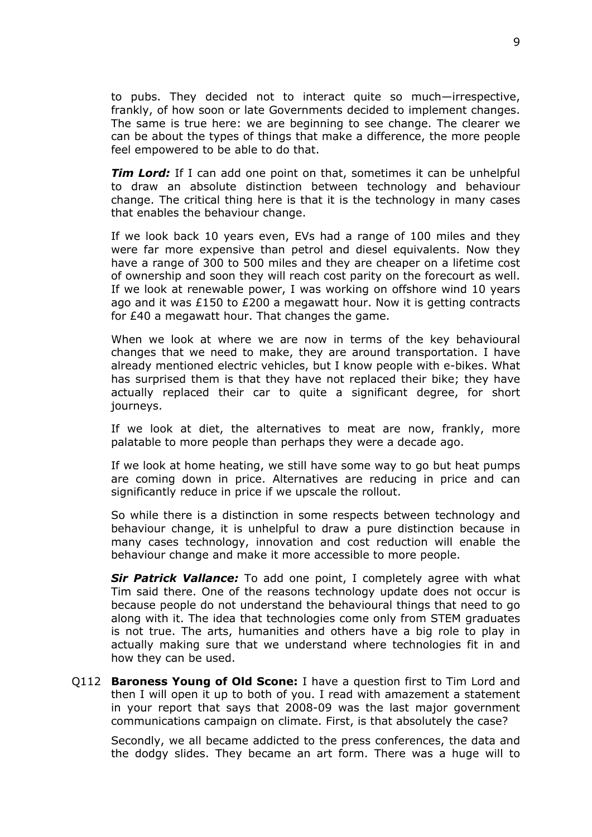to pubs. They decided not to interact quite so much—irrespective, frankly, of how soon or late Governments decided to implement changes. The same is true here: we are beginning to see change. The clearer we can be about the types of things that make a difference, the more people feel empowered to be able to do that.

*Tim Lord:* If I can add one point on that, sometimes it can be unhelpful to draw an absolute distinction between technology and behaviour change. The critical thing here is that it is the technology in many cases that enables the behaviour change.

If we look back 10 years even, EVs had a range of 100 miles and they were far more expensive than petrol and diesel equivalents. Now they have a range of 300 to 500 miles and they are cheaper on a lifetime cost of ownership and soon they will reach cost parity on the forecourt as well. If we look at renewable power, I was working on offshore wind 10 years ago and it was £150 to £200 a megawatt hour. Now it is getting contracts for £40 a megawatt hour. That changes the game.

When we look at where we are now in terms of the key behavioural changes that we need to make, they are around transportation. I have already mentioned electric vehicles, but I know people with e-bikes. What has surprised them is that they have not replaced their bike; they have actually replaced their car to quite a significant degree, for short journeys.

If we look at diet, the alternatives to meat are now, frankly, more palatable to more people than perhaps they were a decade ago.

If we look at home heating, we still have some way to go but heat pumps are coming down in price. Alternatives are reducing in price and can significantly reduce in price if we upscale the rollout.

So while there is a distinction in some respects between technology and behaviour change, it is unhelpful to draw a pure distinction because in many cases technology, innovation and cost reduction will enable the behaviour change and make it more accessible to more people.

*Sir Patrick Vallance:* To add one point, I completely agree with what Tim said there. One of the reasons technology update does not occur is because people do not understand the behavioural things that need to go along with it. The idea that technologies come only from STEM graduates is not true. The arts, humanities and others have a big role to play in actually making sure that we understand where technologies fit in and how they can be used.

Q112 **Baroness Young of Old Scone:** I have a question first to Tim Lord and then I will open it up to both of you. I read with amazement a statement in your report that says that 2008-09 was the last major government communications campaign on climate. First, is that absolutely the case?

Secondly, we all became addicted to the press conferences, the data and the dodgy slides. They became an art form. There was a huge will to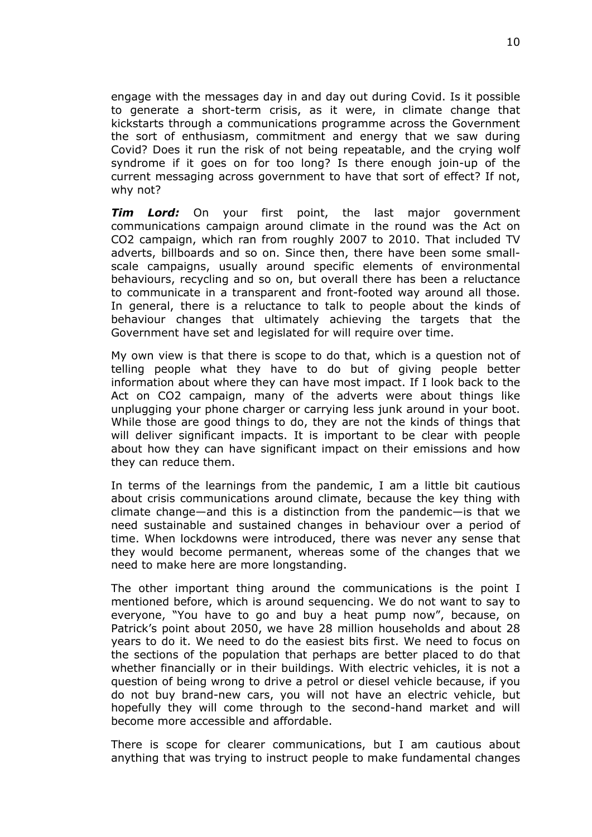engage with the messages day in and day out during Covid. Is it possible to generate a short-term crisis, as it were, in climate change that kickstarts through a communications programme across the Government the sort of enthusiasm, commitment and energy that we saw during Covid? Does it run the risk of not being repeatable, and the crying wolf syndrome if it goes on for too long? Is there enough join-up of the current messaging across government to have that sort of effect? If not, why not?

*Tim Lord:* On your first point, the last major government communications campaign around climate in the round was the Act on CO2 campaign, which ran from roughly 2007 to 2010. That included TV adverts, billboards and so on. Since then, there have been some smallscale campaigns, usually around specific elements of environmental behaviours, recycling and so on, but overall there has been a reluctance to communicate in a transparent and front-footed way around all those. In general, there is a reluctance to talk to people about the kinds of behaviour changes that ultimately achieving the targets that the Government have set and legislated for will require over time.

My own view is that there is scope to do that, which is a question not of telling people what they have to do but of giving people better information about where they can have most impact. If I look back to the Act on CO2 campaign, many of the adverts were about things like unplugging your phone charger or carrying less junk around in your boot. While those are good things to do, they are not the kinds of things that will deliver significant impacts. It is important to be clear with people about how they can have significant impact on their emissions and how they can reduce them.

In terms of the learnings from the pandemic, I am a little bit cautious about crisis communications around climate, because the key thing with climate change—and this is a distinction from the pandemic—is that we need sustainable and sustained changes in behaviour over a period of time. When lockdowns were introduced, there was never any sense that they would become permanent, whereas some of the changes that we need to make here are more longstanding.

The other important thing around the communications is the point I mentioned before, which is around sequencing. We do not want to say to everyone, "You have to go and buy a heat pump now", because, on Patrick's point about 2050, we have 28 million households and about 28 years to do it. We need to do the easiest bits first. We need to focus on the sections of the population that perhaps are better placed to do that whether financially or in their buildings. With electric vehicles, it is not a question of being wrong to drive a petrol or diesel vehicle because, if you do not buy brand-new cars, you will not have an electric vehicle, but hopefully they will come through to the second-hand market and will become more accessible and affordable.

There is scope for clearer communications, but I am cautious about anything that was trying to instruct people to make fundamental changes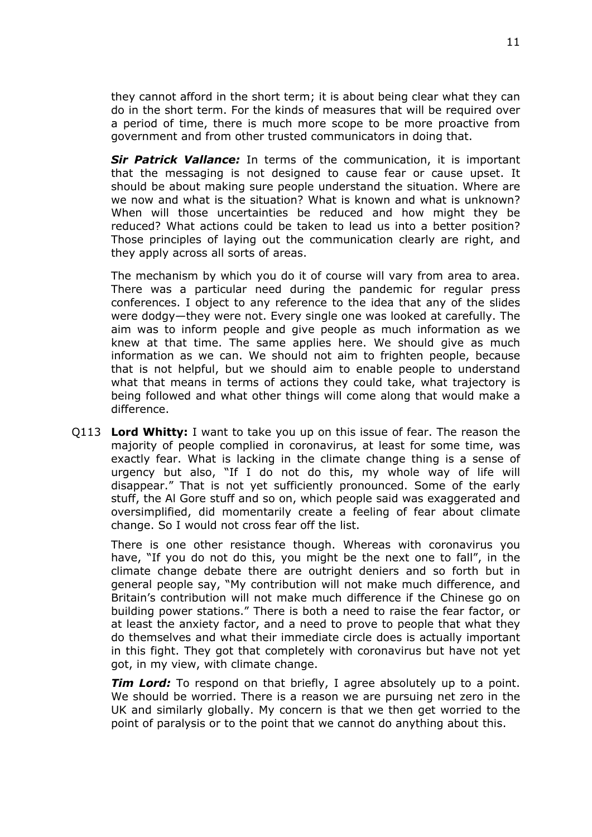they cannot afford in the short term; it is about being clear what they can do in the short term. For the kinds of measures that will be required over a period of time, there is much more scope to be more proactive from government and from other trusted communicators in doing that.

*Sir Patrick Vallance:* In terms of the communication, it is important that the messaging is not designed to cause fear or cause upset. It should be about making sure people understand the situation. Where are we now and what is the situation? What is known and what is unknown? When will those uncertainties be reduced and how might they be reduced? What actions could be taken to lead us into a better position? Those principles of laying out the communication clearly are right, and they apply across all sorts of areas.

The mechanism by which you do it of course will vary from area to area. There was a particular need during the pandemic for regular press conferences. I object to any reference to the idea that any of the slides were dodgy—they were not. Every single one was looked at carefully. The aim was to inform people and give people as much information as we knew at that time. The same applies here. We should give as much information as we can. We should not aim to frighten people, because that is not helpful, but we should aim to enable people to understand what that means in terms of actions they could take, what trajectory is being followed and what other things will come along that would make a difference.

Q113 **Lord Whitty:** I want to take you up on this issue of fear. The reason the majority of people complied in coronavirus, at least for some time, was exactly fear. What is lacking in the climate change thing is a sense of urgency but also, "If I do not do this, my whole way of life will disappear." That is not yet sufficiently pronounced. Some of the early stuff, the Al Gore stuff and so on, which people said was exaggerated and oversimplified, did momentarily create a feeling of fear about climate change. So I would not cross fear off the list.

There is one other resistance though. Whereas with coronavirus you have, "If you do not do this, you might be the next one to fall", in the climate change debate there are outright deniers and so forth but in general people say, "My contribution will not make much difference, and Britain's contribution will not make much difference if the Chinese go on building power stations." There is both a need to raise the fear factor, or at least the anxiety factor, and a need to prove to people that what they do themselves and what their immediate circle does is actually important in this fight. They got that completely with coronavirus but have not yet got, in my view, with climate change.

*Tim Lord:* To respond on that briefly, I agree absolutely up to a point. We should be worried. There is a reason we are pursuing net zero in the UK and similarly globally. My concern is that we then get worried to the point of paralysis or to the point that we cannot do anything about this.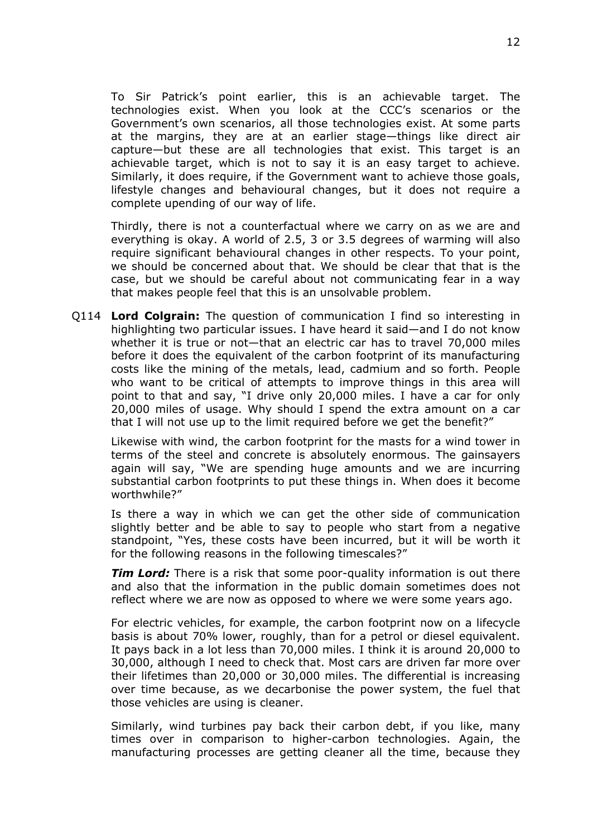To Sir Patrick's point earlier, this is an achievable target. The technologies exist. When you look at the CCC's scenarios or the Government's own scenarios, all those technologies exist. At some parts at the margins, they are at an earlier stage—things like direct air capture—but these are all technologies that exist. This target is an achievable target, which is not to say it is an easy target to achieve. Similarly, it does require, if the Government want to achieve those goals, lifestyle changes and behavioural changes, but it does not require a complete upending of our way of life.

Thirdly, there is not a counterfactual where we carry on as we are and everything is okay. A world of 2.5, 3 or 3.5 degrees of warming will also require significant behavioural changes in other respects. To your point, we should be concerned about that. We should be clear that that is the case, but we should be careful about not communicating fear in a way that makes people feel that this is an unsolvable problem.

Q114 **Lord Colgrain:** The question of communication I find so interesting in highlighting two particular issues. I have heard it said—and I do not know whether it is true or not—that an electric car has to travel 70,000 miles before it does the equivalent of the carbon footprint of its manufacturing costs like the mining of the metals, lead, cadmium and so forth. People who want to be critical of attempts to improve things in this area will point to that and say, "I drive only 20,000 miles. I have a car for only 20,000 miles of usage. Why should I spend the extra amount on a car that I will not use up to the limit required before we get the benefit?"

Likewise with wind, the carbon footprint for the masts for a wind tower in terms of the steel and concrete is absolutely enormous. The gainsayers again will say, "We are spending huge amounts and we are incurring substantial carbon footprints to put these things in. When does it become worthwhile?"

Is there a way in which we can get the other side of communication slightly better and be able to say to people who start from a negative standpoint, "Yes, these costs have been incurred, but it will be worth it for the following reasons in the following timescales?"

*Tim Lord:* There is a risk that some poor-quality information is out there and also that the information in the public domain sometimes does not reflect where we are now as opposed to where we were some years ago.

For electric vehicles, for example, the carbon footprint now on a lifecycle basis is about 70% lower, roughly, than for a petrol or diesel equivalent. It pays back in a lot less than 70,000 miles. I think it is around 20,000 to 30,000, although I need to check that. Most cars are driven far more over their lifetimes than 20,000 or 30,000 miles. The differential is increasing over time because, as we decarbonise the power system, the fuel that those vehicles are using is cleaner.

Similarly, wind turbines pay back their carbon debt, if you like, many times over in comparison to higher-carbon technologies. Again, the manufacturing processes are getting cleaner all the time, because they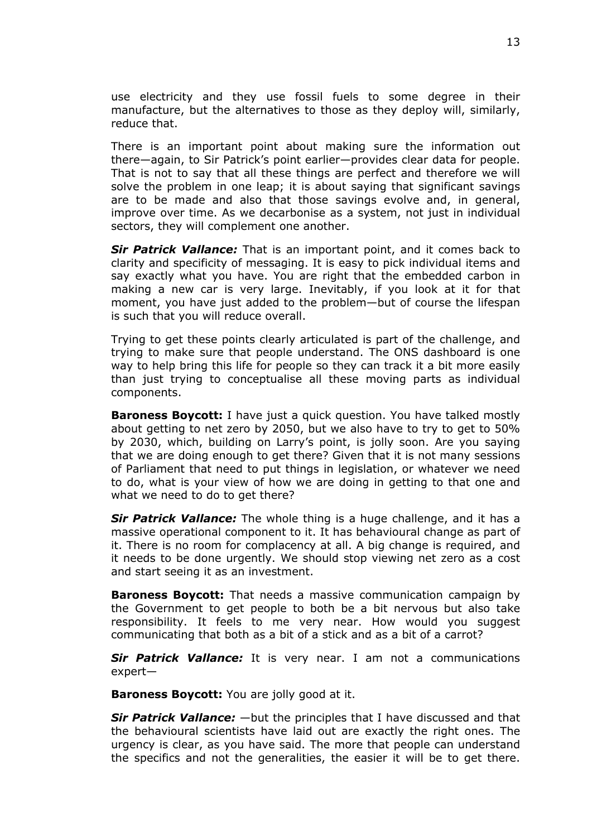use electricity and they use fossil fuels to some degree in their manufacture, but the alternatives to those as they deploy will, similarly, reduce that.

There is an important point about making sure the information out there—again, to Sir Patrick's point earlier—provides clear data for people. That is not to say that all these things are perfect and therefore we will solve the problem in one leap; it is about saying that significant savings are to be made and also that those savings evolve and, in general, improve over time. As we decarbonise as a system, not just in individual sectors, they will complement one another.

*Sir Patrick Vallance:* That is an important point, and it comes back to clarity and specificity of messaging. It is easy to pick individual items and say exactly what you have. You are right that the embedded carbon in making a new car is very large. Inevitably, if you look at it for that moment, you have just added to the problem—but of course the lifespan is such that you will reduce overall.

Trying to get these points clearly articulated is part of the challenge, and trying to make sure that people understand. The ONS dashboard is one way to help bring this life for people so they can track it a bit more easily than just trying to conceptualise all these moving parts as individual components.

**Baroness Boycott:** I have just a quick question. You have talked mostly about getting to net zero by 2050, but we also have to try to get to 50% by 2030, which, building on Larry's point, is jolly soon. Are you saying that we are doing enough to get there? Given that it is not many sessions of Parliament that need to put things in legislation, or whatever we need to do, what is your view of how we are doing in getting to that one and what we need to do to get there?

*Sir Patrick Vallance:* The whole thing is a huge challenge, and it has a massive operational component to it. It has behavioural change as part of it. There is no room for complacency at all. A big change is required, and it needs to be done urgently. We should stop viewing net zero as a cost and start seeing it as an investment.

**Baroness Boycott:** That needs a massive communication campaign by the Government to get people to both be a bit nervous but also take responsibility. It feels to me very near. How would you suggest communicating that both as a bit of a stick and as a bit of a carrot?

*Sir Patrick Vallance:* It is very near. I am not a communications expert—

**Baroness Boycott:** You are jolly good at it.

*Sir Patrick Vallance:* —but the principles that I have discussed and that the behavioural scientists have laid out are exactly the right ones. The urgency is clear, as you have said. The more that people can understand the specifics and not the generalities, the easier it will be to get there.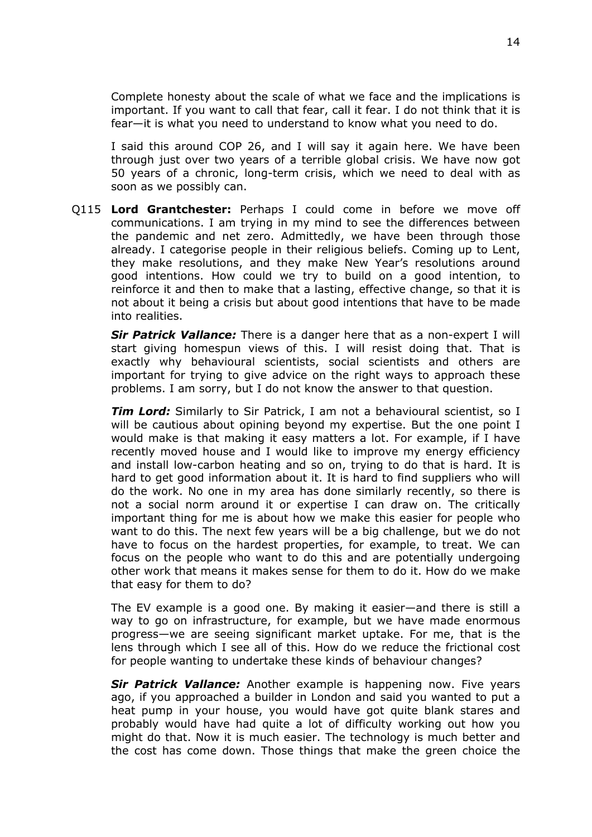Complete honesty about the scale of what we face and the implications is important. If you want to call that fear, call it fear. I do not think that it is fear—it is what you need to understand to know what you need to do.

I said this around COP 26, and I will say it again here. We have been through just over two years of a terrible global crisis. We have now got 50 years of a chronic, long-term crisis, which we need to deal with as soon as we possibly can.

Q115 **Lord Grantchester:** Perhaps I could come in before we move off communications. I am trying in my mind to see the differences between the pandemic and net zero. Admittedly, we have been through those already. I categorise people in their religious beliefs. Coming up to Lent, they make resolutions, and they make New Year's resolutions around good intentions. How could we try to build on a good intention, to reinforce it and then to make that a lasting, effective change, so that it is not about it being a crisis but about good intentions that have to be made into realities.

*Sir Patrick Vallance:* There is a danger here that as a non-expert I will start giving homespun views of this. I will resist doing that. That is exactly why behavioural scientists, social scientists and others are important for trying to give advice on the right ways to approach these problems. I am sorry, but I do not know the answer to that question.

*Tim Lord:* Similarly to Sir Patrick, I am not a behavioural scientist, so I will be cautious about opining beyond my expertise. But the one point I would make is that making it easy matters a lot. For example, if I have recently moved house and I would like to improve my energy efficiency and install low-carbon heating and so on, trying to do that is hard. It is hard to get good information about it. It is hard to find suppliers who will do the work. No one in my area has done similarly recently, so there is not a social norm around it or expertise I can draw on. The critically important thing for me is about how we make this easier for people who want to do this. The next few years will be a big challenge, but we do not have to focus on the hardest properties, for example, to treat. We can focus on the people who want to do this and are potentially undergoing other work that means it makes sense for them to do it. How do we make that easy for them to do?

The EV example is a good one. By making it easier—and there is still a way to go on infrastructure, for example, but we have made enormous progress—we are seeing significant market uptake. For me, that is the lens through which I see all of this. How do we reduce the frictional cost for people wanting to undertake these kinds of behaviour changes?

*Sir Patrick Vallance:* Another example is happening now. Five years ago, if you approached a builder in London and said you wanted to put a heat pump in your house, you would have got quite blank stares and probably would have had quite a lot of difficulty working out how you might do that. Now it is much easier. The technology is much better and the cost has come down. Those things that make the green choice the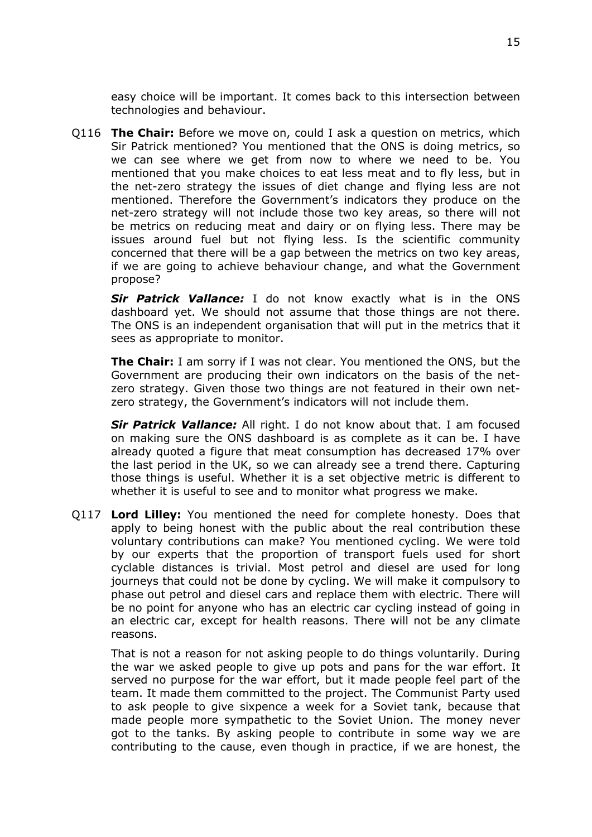easy choice will be important. It comes back to this intersection between technologies and behaviour.

Q116 **The Chair:** Before we move on, could I ask a question on metrics, which Sir Patrick mentioned? You mentioned that the ONS is doing metrics, so we can see where we get from now to where we need to be. You mentioned that you make choices to eat less meat and to fly less, but in the net-zero strategy the issues of diet change and flying less are not mentioned. Therefore the Government's indicators they produce on the net-zero strategy will not include those two key areas, so there will not be metrics on reducing meat and dairy or on flying less. There may be issues around fuel but not flying less. Is the scientific community concerned that there will be a gap between the metrics on two key areas, if we are going to achieve behaviour change, and what the Government propose?

*Sir Patrick Vallance:* I do not know exactly what is in the ONS dashboard yet. We should not assume that those things are not there. The ONS is an independent organisation that will put in the metrics that it sees as appropriate to monitor.

**The Chair:** I am sorry if I was not clear. You mentioned the ONS, but the Government are producing their own indicators on the basis of the netzero strategy. Given those two things are not featured in their own netzero strategy, the Government's indicators will not include them.

*Sir Patrick Vallance:* All right. I do not know about that. I am focused on making sure the ONS dashboard is as complete as it can be. I have already quoted a figure that meat consumption has decreased 17% over the last period in the UK, so we can already see a trend there. Capturing those things is useful. Whether it is a set objective metric is different to whether it is useful to see and to monitor what progress we make.

Q117 **Lord Lilley:** You mentioned the need for complete honesty. Does that apply to being honest with the public about the real contribution these voluntary contributions can make? You mentioned cycling. We were told by our experts that the proportion of transport fuels used for short cyclable distances is trivial. Most petrol and diesel are used for long journeys that could not be done by cycling. We will make it compulsory to phase out petrol and diesel cars and replace them with electric. There will be no point for anyone who has an electric car cycling instead of going in an electric car, except for health reasons. There will not be any climate reasons.

That is not a reason for not asking people to do things voluntarily. During the war we asked people to give up pots and pans for the war effort. It served no purpose for the war effort, but it made people feel part of the team. It made them committed to the project. The Communist Party used to ask people to give sixpence a week for a Soviet tank, because that made people more sympathetic to the Soviet Union. The money never got to the tanks. By asking people to contribute in some way we are contributing to the cause, even though in practice, if we are honest, the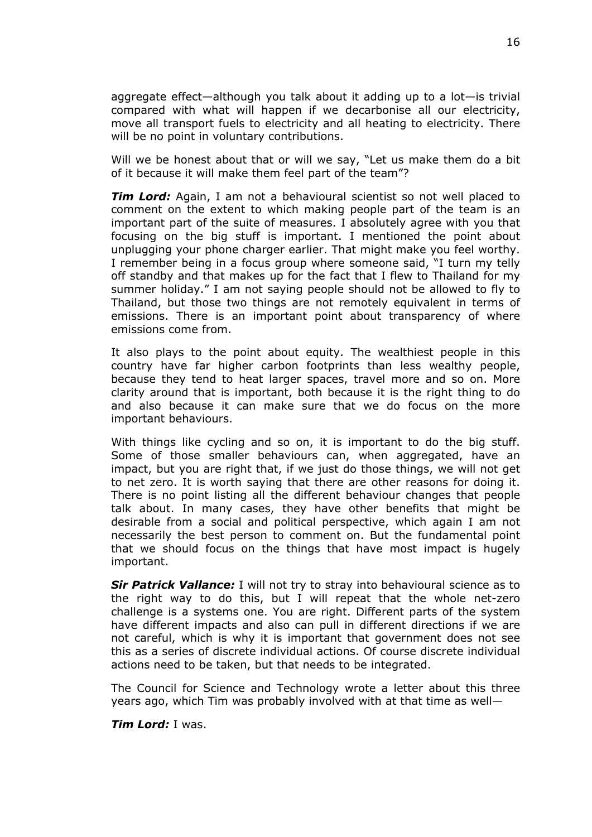aggregate effect—although you talk about it adding up to a lot—is trivial compared with what will happen if we decarbonise all our electricity, move all transport fuels to electricity and all heating to electricity. There will be no point in voluntary contributions.

Will we be honest about that or will we say, "Let us make them do a bit of it because it will make them feel part of the team"?

*Tim Lord:* Again, I am not a behavioural scientist so not well placed to comment on the extent to which making people part of the team is an important part of the suite of measures. I absolutely agree with you that focusing on the big stuff is important. I mentioned the point about unplugging your phone charger earlier. That might make you feel worthy. I remember being in a focus group where someone said, "I turn my telly off standby and that makes up for the fact that I flew to Thailand for my summer holiday." I am not saying people should not be allowed to fly to Thailand, but those two things are not remotely equivalent in terms of emissions. There is an important point about transparency of where emissions come from.

It also plays to the point about equity. The wealthiest people in this country have far higher carbon footprints than less wealthy people, because they tend to heat larger spaces, travel more and so on. More clarity around that is important, both because it is the right thing to do and also because it can make sure that we do focus on the more important behaviours.

With things like cycling and so on, it is important to do the big stuff. Some of those smaller behaviours can, when aggregated, have an impact, but you are right that, if we just do those things, we will not get to net zero. It is worth saying that there are other reasons for doing it. There is no point listing all the different behaviour changes that people talk about. In many cases, they have other benefits that might be desirable from a social and political perspective, which again I am not necessarily the best person to comment on. But the fundamental point that we should focus on the things that have most impact is hugely important.

*Sir Patrick Vallance:* I will not try to stray into behavioural science as to the right way to do this, but I will repeat that the whole net-zero challenge is a systems one. You are right. Different parts of the system have different impacts and also can pull in different directions if we are not careful, which is why it is important that government does not see this as a series of discrete individual actions. Of course discrete individual actions need to be taken, but that needs to be integrated.

The Council for Science and Technology wrote a letter about this three years ago, which Tim was probably involved with at that time as well—

*Tim Lord:* I was.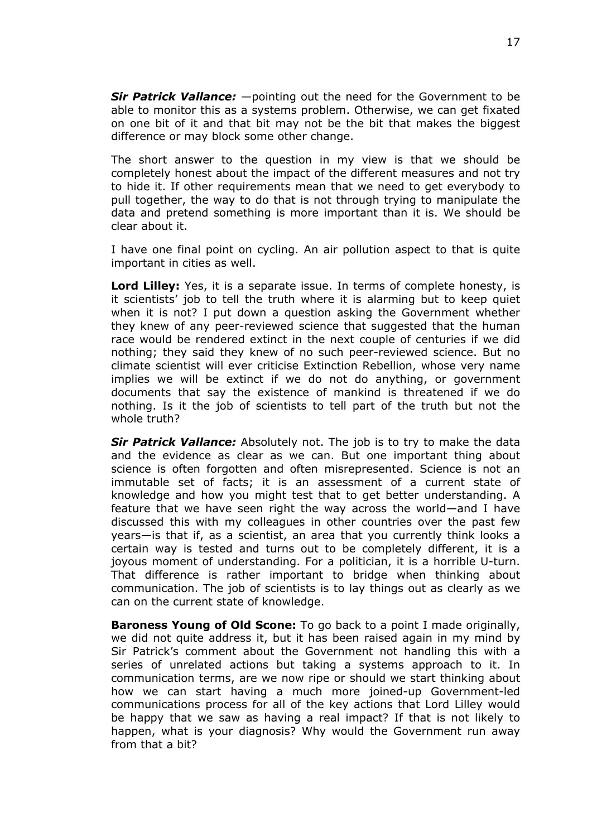*Sir Patrick Vallance:* —pointing out the need for the Government to be able to monitor this as a systems problem. Otherwise, we can get fixated on one bit of it and that bit may not be the bit that makes the biggest difference or may block some other change.

The short answer to the question in my view is that we should be completely honest about the impact of the different measures and not try to hide it. If other requirements mean that we need to get everybody to pull together, the way to do that is not through trying to manipulate the data and pretend something is more important than it is. We should be clear about it.

I have one final point on cycling. An air pollution aspect to that is quite important in cities as well.

**Lord Lilley:** Yes, it is a separate issue. In terms of complete honesty, is it scientists' job to tell the truth where it is alarming but to keep quiet when it is not? I put down a question asking the Government whether they knew of any peer-reviewed science that suggested that the human race would be rendered extinct in the next couple of centuries if we did nothing; they said they knew of no such peer-reviewed science. But no climate scientist will ever criticise Extinction Rebellion, whose very name implies we will be extinct if we do not do anything, or government documents that say the existence of mankind is threatened if we do nothing. Is it the job of scientists to tell part of the truth but not the whole truth?

*Sir Patrick Vallance:* Absolutely not. The job is to try to make the data and the evidence as clear as we can. But one important thing about science is often forgotten and often misrepresented. Science is not an immutable set of facts; it is an assessment of a current state of knowledge and how you might test that to get better understanding. A feature that we have seen right the way across the world—and I have discussed this with my colleagues in other countries over the past few years—is that if, as a scientist, an area that you currently think looks a certain way is tested and turns out to be completely different, it is a joyous moment of understanding. For a politician, it is a horrible U-turn. That difference is rather important to bridge when thinking about communication. The job of scientists is to lay things out as clearly as we can on the current state of knowledge.

**Baroness Young of Old Scone:** To go back to a point I made originally, we did not quite address it, but it has been raised again in my mind by Sir Patrick's comment about the Government not handling this with a series of unrelated actions but taking a systems approach to it. In communication terms, are we now ripe or should we start thinking about how we can start having a much more joined-up Government-led communications process for all of the key actions that Lord Lilley would be happy that we saw as having a real impact? If that is not likely to happen, what is your diagnosis? Why would the Government run away from that a bit?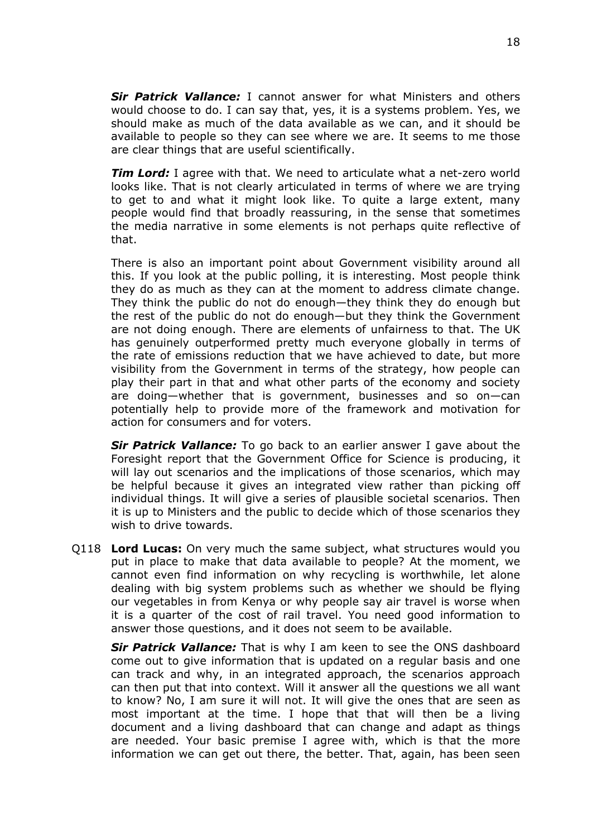*Sir Patrick Vallance:* I cannot answer for what Ministers and others would choose to do. I can say that, yes, it is a systems problem. Yes, we should make as much of the data available as we can, and it should be available to people so they can see where we are. It seems to me those are clear things that are useful scientifically.

*Tim Lord:* I agree with that. We need to articulate what a net-zero world looks like. That is not clearly articulated in terms of where we are trying to get to and what it might look like. To quite a large extent, many people would find that broadly reassuring, in the sense that sometimes the media narrative in some elements is not perhaps quite reflective of that.

There is also an important point about Government visibility around all this. If you look at the public polling, it is interesting. Most people think they do as much as they can at the moment to address climate change. They think the public do not do enough—they think they do enough but the rest of the public do not do enough—but they think the Government are not doing enough. There are elements of unfairness to that. The UK has genuinely outperformed pretty much everyone globally in terms of the rate of emissions reduction that we have achieved to date, but more visibility from the Government in terms of the strategy, how people can play their part in that and what other parts of the economy and society are doing—whether that is government, businesses and so on—can potentially help to provide more of the framework and motivation for action for consumers and for voters.

*Sir Patrick Vallance:* To go back to an earlier answer I gave about the Foresight report that the Government Office for Science is producing, it will lay out scenarios and the implications of those scenarios, which may be helpful because it gives an integrated view rather than picking off individual things. It will give a series of plausible societal scenarios. Then it is up to Ministers and the public to decide which of those scenarios they wish to drive towards.

Q118 **Lord Lucas:** On very much the same subject, what structures would you put in place to make that data available to people? At the moment, we cannot even find information on why recycling is worthwhile, let alone dealing with big system problems such as whether we should be flying our vegetables in from Kenya or why people say air travel is worse when it is a quarter of the cost of rail travel. You need good information to answer those questions, and it does not seem to be available.

*Sir Patrick Vallance:* That is why I am keen to see the ONS dashboard come out to give information that is updated on a regular basis and one can track and why, in an integrated approach, the scenarios approach can then put that into context. Will it answer all the questions we all want to know? No, I am sure it will not. It will give the ones that are seen as most important at the time. I hope that that will then be a living document and a living dashboard that can change and adapt as things are needed. Your basic premise I agree with, which is that the more information we can get out there, the better. That, again, has been seen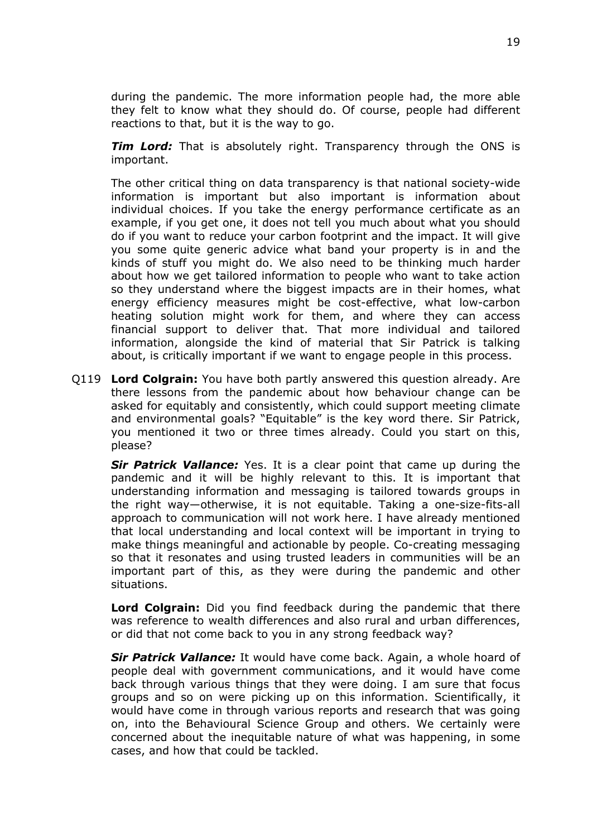during the pandemic. The more information people had, the more able they felt to know what they should do. Of course, people had different reactions to that, but it is the way to go.

*Tim Lord:* That is absolutely right. Transparency through the ONS is important.

The other critical thing on data transparency is that national society-wide information is important but also important is information about individual choices. If you take the energy performance certificate as an example, if you get one, it does not tell you much about what you should do if you want to reduce your carbon footprint and the impact. It will give you some quite generic advice what band your property is in and the kinds of stuff you might do. We also need to be thinking much harder about how we get tailored information to people who want to take action so they understand where the biggest impacts are in their homes, what energy efficiency measures might be cost-effective, what low-carbon heating solution might work for them, and where they can access financial support to deliver that. That more individual and tailored information, alongside the kind of material that Sir Patrick is talking about, is critically important if we want to engage people in this process.

Q119 **Lord Colgrain:** You have both partly answered this question already. Are there lessons from the pandemic about how behaviour change can be asked for equitably and consistently, which could support meeting climate and environmental goals? "Equitable" is the key word there. Sir Patrick, you mentioned it two or three times already. Could you start on this, please?

*Sir Patrick Vallance:* Yes. It is a clear point that came up during the pandemic and it will be highly relevant to this. It is important that understanding information and messaging is tailored towards groups in the right way—otherwise, it is not equitable. Taking a one-size-fits-all approach to communication will not work here. I have already mentioned that local understanding and local context will be important in trying to make things meaningful and actionable by people. Co-creating messaging so that it resonates and using trusted leaders in communities will be an important part of this, as they were during the pandemic and other situations.

**Lord Colgrain:** Did you find feedback during the pandemic that there was reference to wealth differences and also rural and urban differences, or did that not come back to you in any strong feedback way?

*Sir Patrick Vallance:* It would have come back. Again, a whole hoard of people deal with government communications, and it would have come back through various things that they were doing. I am sure that focus groups and so on were picking up on this information. Scientifically, it would have come in through various reports and research that was going on, into the Behavioural Science Group and others. We certainly were concerned about the inequitable nature of what was happening, in some cases, and how that could be tackled.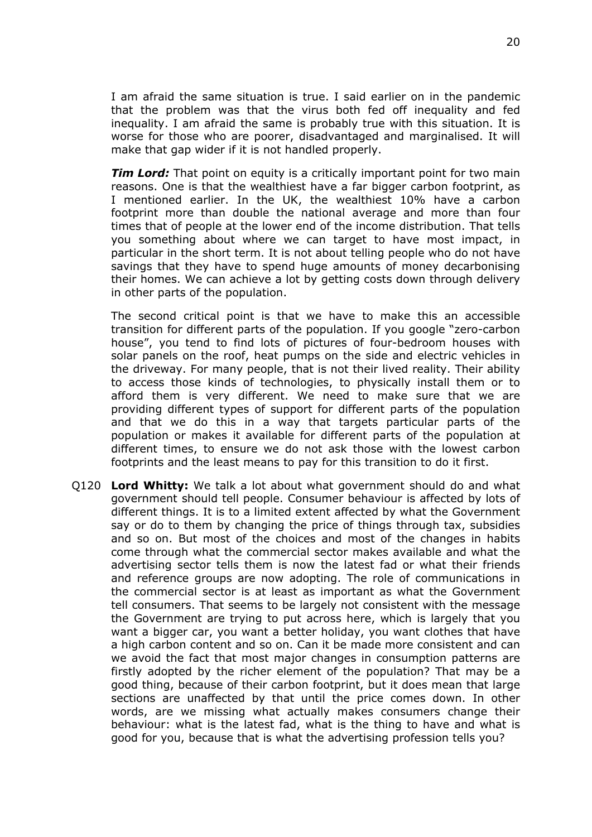I am afraid the same situation is true. I said earlier on in the pandemic that the problem was that the virus both fed off inequality and fed inequality. I am afraid the same is probably true with this situation. It is worse for those who are poorer, disadvantaged and marginalised. It will make that gap wider if it is not handled properly.

*Tim Lord:* That point on equity is a critically important point for two main reasons. One is that the wealthiest have a far bigger carbon footprint, as I mentioned earlier. In the UK, the wealthiest 10% have a carbon footprint more than double the national average and more than four times that of people at the lower end of the income distribution. That tells you something about where we can target to have most impact, in particular in the short term. It is not about telling people who do not have savings that they have to spend huge amounts of money decarbonising their homes. We can achieve a lot by getting costs down through delivery in other parts of the population.

The second critical point is that we have to make this an accessible transition for different parts of the population. If you google "zero-carbon house", you tend to find lots of pictures of four-bedroom houses with solar panels on the roof, heat pumps on the side and electric vehicles in the driveway. For many people, that is not their lived reality. Their ability to access those kinds of technologies, to physically install them or to afford them is very different. We need to make sure that we are providing different types of support for different parts of the population and that we do this in a way that targets particular parts of the population or makes it available for different parts of the population at different times, to ensure we do not ask those with the lowest carbon footprints and the least means to pay for this transition to do it first.

Q120 **Lord Whitty:** We talk a lot about what government should do and what government should tell people. Consumer behaviour is affected by lots of different things. It is to a limited extent affected by what the Government say or do to them by changing the price of things through tax, subsidies and so on. But most of the choices and most of the changes in habits come through what the commercial sector makes available and what the advertising sector tells them is now the latest fad or what their friends and reference groups are now adopting. The role of communications in the commercial sector is at least as important as what the Government tell consumers. That seems to be largely not consistent with the message the Government are trying to put across here, which is largely that you want a bigger car, you want a better holiday, you want clothes that have a high carbon content and so on. Can it be made more consistent and can we avoid the fact that most major changes in consumption patterns are firstly adopted by the richer element of the population? That may be a good thing, because of their carbon footprint, but it does mean that large sections are unaffected by that until the price comes down. In other words, are we missing what actually makes consumers change their behaviour: what is the latest fad, what is the thing to have and what is good for you, because that is what the advertising profession tells you?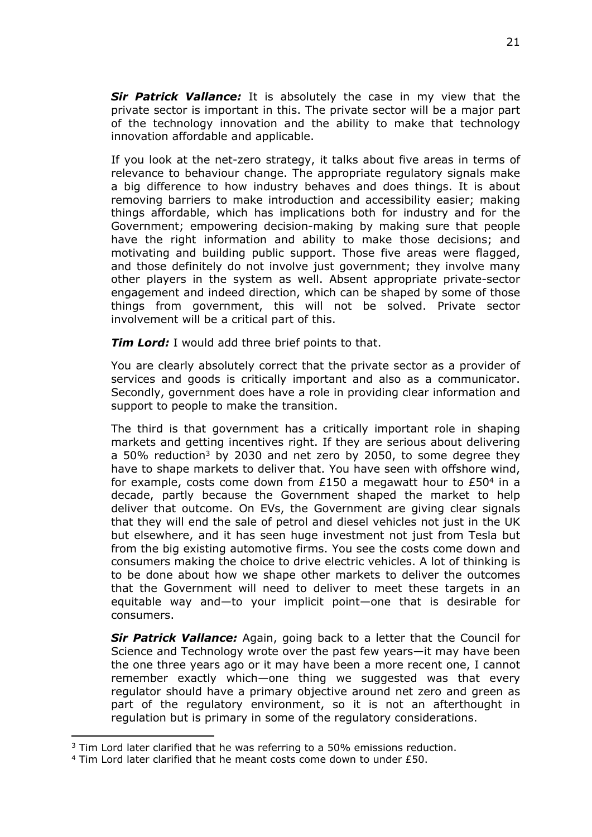*Sir Patrick Vallance:* It is absolutely the case in my view that the private sector is important in this. The private sector will be a major part of the technology innovation and the ability to make that technology innovation affordable and applicable.

If you look at the net-zero strategy, it talks about five areas in terms of relevance to behaviour change. The appropriate regulatory signals make a big difference to how industry behaves and does things. It is about removing barriers to make introduction and accessibility easier; making things affordable, which has implications both for industry and for the Government; empowering decision-making by making sure that people have the right information and ability to make those decisions; and motivating and building public support. Those five areas were flagged, and those definitely do not involve just government; they involve many other players in the system as well. Absent appropriate private-sector engagement and indeed direction, which can be shaped by some of those things from government, this will not be solved. Private sector involvement will be a critical part of this.

*Tim Lord:* I would add three brief points to that.

You are clearly absolutely correct that the private sector as a provider of services and goods is critically important and also as a communicator. Secondly, government does have a role in providing clear information and support to people to make the transition.

The third is that government has a critically important role in shaping markets and getting incentives right. If they are serious about delivering a 50% reduction<sup>3</sup> by 2030 and net zero by 2050, to some degree they have to shape markets to deliver that. You have seen with offshore wind, for example, costs come down from £150 a megawatt hour to £50<sup>4</sup> in a decade, partly because the Government shaped the market to help deliver that outcome. On EVs, the Government are giving clear signals that they will end the sale of petrol and diesel vehicles not just in the UK but elsewhere, and it has seen huge investment not just from Tesla but from the big existing automotive firms. You see the costs come down and consumers making the choice to drive electric vehicles. A lot of thinking is to be done about how we shape other markets to deliver the outcomes that the Government will need to deliver to meet these targets in an equitable way and—to your implicit point—one that is desirable for consumers.

*Sir Patrick Vallance:* Again, going back to a letter that the Council for Science and Technology wrote over the past few years—it may have been the one three years ago or it may have been a more recent one, I cannot remember exactly which—one thing we suggested was that every regulator should have a primary objective around net zero and green as part of the regulatory environment, so it is not an afterthought in regulation but is primary in some of the regulatory considerations.

 $3$  Tim Lord later clarified that he was referring to a 50% emissions reduction.

 $4$  Tim Lord later clarified that he meant costs come down to under £50.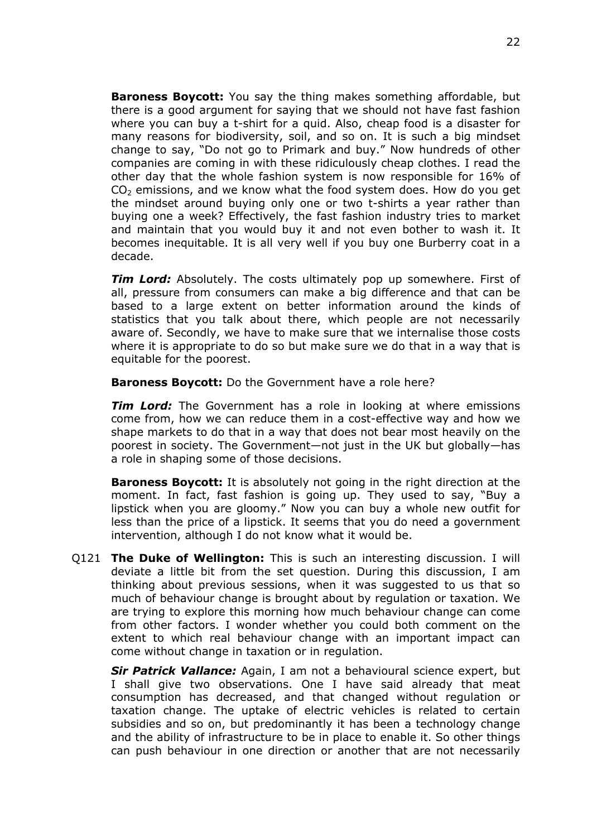**Baroness Boycott:** You say the thing makes something affordable, but there is a good argument for saying that we should not have fast fashion where you can buy a t-shirt for a quid. Also, cheap food is a disaster for many reasons for biodiversity, soil, and so on. It is such a big mindset change to say, "Do not go to Primark and buy." Now hundreds of other companies are coming in with these ridiculously cheap clothes. I read the other day that the whole fashion system is now responsible for 16% of  $CO<sub>2</sub>$  emissions, and we know what the food system does. How do you get the mindset around buying only one or two t-shirts a year rather than buying one a week? Effectively, the fast fashion industry tries to market and maintain that you would buy it and not even bother to wash it. It becomes inequitable. It is all very well if you buy one Burberry coat in a decade.

*Tim Lord:* Absolutely. The costs ultimately pop up somewhere. First of all, pressure from consumers can make a big difference and that can be based to a large extent on better information around the kinds of statistics that you talk about there, which people are not necessarily aware of. Secondly, we have to make sure that we internalise those costs where it is appropriate to do so but make sure we do that in a way that is equitable for the poorest.

**Baroness Boycott:** Do the Government have a role here?

*Tim Lord:* The Government has a role in looking at where emissions come from, how we can reduce them in a cost-effective way and how we shape markets to do that in a way that does not bear most heavily on the poorest in society. The Government—not just in the UK but globally—has a role in shaping some of those decisions.

**Baroness Boycott:** It is absolutely not going in the right direction at the moment. In fact, fast fashion is going up. They used to say, "Buy a lipstick when you are gloomy." Now you can buy a whole new outfit for less than the price of a lipstick. It seems that you do need a government intervention, although I do not know what it would be.

Q121 **The Duke of Wellington:** This is such an interesting discussion. I will deviate a little bit from the set question. During this discussion, I am thinking about previous sessions, when it was suggested to us that so much of behaviour change is brought about by regulation or taxation. We are trying to explore this morning how much behaviour change can come from other factors. I wonder whether you could both comment on the extent to which real behaviour change with an important impact can come without change in taxation or in regulation.

*Sir Patrick Vallance:* Again, I am not a behavioural science expert, but I shall give two observations. One I have said already that meat consumption has decreased, and that changed without regulation or taxation change. The uptake of electric vehicles is related to certain subsidies and so on, but predominantly it has been a technology change and the ability of infrastructure to be in place to enable it. So other things can push behaviour in one direction or another that are not necessarily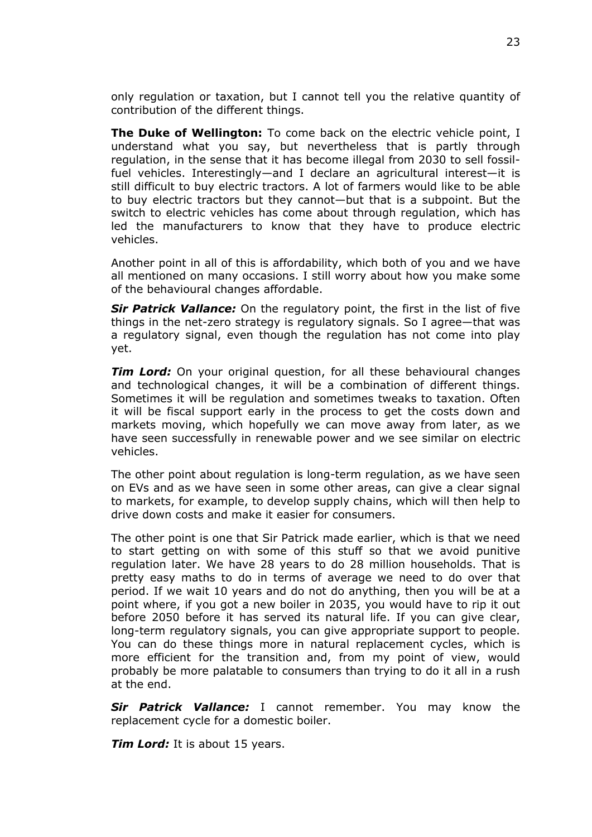only regulation or taxation, but I cannot tell you the relative quantity of contribution of the different things.

**The Duke of Wellington:** To come back on the electric vehicle point, I understand what you say, but nevertheless that is partly through regulation, in the sense that it has become illegal from 2030 to sell fossilfuel vehicles. Interestingly—and I declare an agricultural interest—it is still difficult to buy electric tractors. A lot of farmers would like to be able to buy electric tractors but they cannot—but that is a subpoint. But the switch to electric vehicles has come about through regulation, which has led the manufacturers to know that they have to produce electric vehicles.

Another point in all of this is affordability, which both of you and we have all mentioned on many occasions. I still worry about how you make some of the behavioural changes affordable.

*Sir Patrick Vallance:* On the regulatory point, the first in the list of five things in the net-zero strategy is regulatory signals. So I agree—that was a regulatory signal, even though the regulation has not come into play yet.

*Tim Lord:* On your original question, for all these behavioural changes and technological changes, it will be a combination of different things. Sometimes it will be regulation and sometimes tweaks to taxation. Often it will be fiscal support early in the process to get the costs down and markets moving, which hopefully we can move away from later, as we have seen successfully in renewable power and we see similar on electric vehicles.

The other point about regulation is long-term regulation, as we have seen on EVs and as we have seen in some other areas, can give a clear signal to markets, for example, to develop supply chains, which will then help to drive down costs and make it easier for consumers.

The other point is one that Sir Patrick made earlier, which is that we need to start getting on with some of this stuff so that we avoid punitive regulation later. We have 28 years to do 28 million households. That is pretty easy maths to do in terms of average we need to do over that period. If we wait 10 years and do not do anything, then you will be at a point where, if you got a new boiler in 2035, you would have to rip it out before 2050 before it has served its natural life. If you can give clear, long-term regulatory signals, you can give appropriate support to people. You can do these things more in natural replacement cycles, which is more efficient for the transition and, from my point of view, would probably be more palatable to consumers than trying to do it all in a rush at the end.

*Sir Patrick Vallance:* I cannot remember. You may know the replacement cycle for a domestic boiler.

*Tim Lord:* It is about 15 years.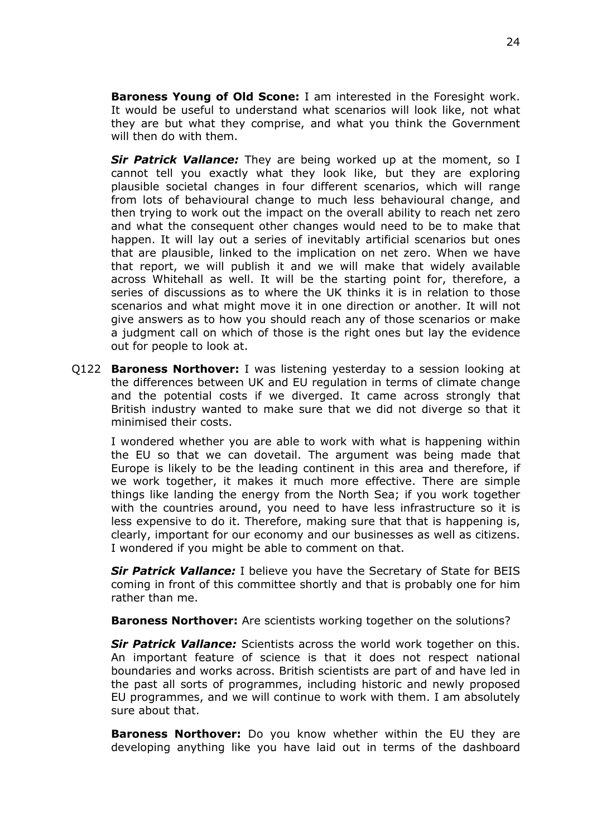**Baroness Young of Old Scone:** I am interested in the Foresight work. It would be useful to understand what scenarios will look like, not what they are but what they comprise, and what you think the Government will then do with them.

*Sir Patrick Vallance:* They are being worked up at the moment, so I cannot tell you exactly what they look like, but they are exploring plausible societal changes in four different scenarios, which will range from lots of behavioural change to much less behavioural change, and then trying to work out the impact on the overall ability to reach net zero and what the consequent other changes would need to be to make that happen. It will lay out a series of inevitably artificial scenarios but ones that are plausible, linked to the implication on net zero. When we have that report, we will publish it and we will make that widely available across Whitehall as well. It will be the starting point for, therefore, a series of discussions as to where the UK thinks it is in relation to those scenarios and what might move it in one direction or another. It will not give answers as to how you should reach any of those scenarios or make a judgment call on which of those is the right ones but lay the evidence out for people to look at.

Q122 **Baroness Northover:** I was listening yesterday to a session looking at the differences between UK and EU regulation in terms of climate change and the potential costs if we diverged. It came across strongly that British industry wanted to make sure that we did not diverge so that it minimised their costs.

I wondered whether you are able to work with what is happening within the EU so that we can dovetail. The argument was being made that Europe is likely to be the leading continent in this area and therefore, if we work together, it makes it much more effective. There are simple things like landing the energy from the North Sea; if you work together with the countries around, you need to have less infrastructure so it is less expensive to do it. Therefore, making sure that that is happening is, clearly, important for our economy and our businesses as well as citizens. I wondered if you might be able to comment on that.

*Sir Patrick Vallance:* I believe you have the Secretary of State for BEIS coming in front of this committee shortly and that is probably one for him rather than me.

**Baroness Northover:** Are scientists working together on the solutions?

*Sir Patrick Vallance:* Scientists across the world work together on this. An important feature of science is that it does not respect national boundaries and works across. British scientists are part of and have led in the past all sorts of programmes, including historic and newly proposed EU programmes, and we will continue to work with them. I am absolutely sure about that.

**Baroness Northover:** Do you know whether within the EU they are developing anything like you have laid out in terms of the dashboard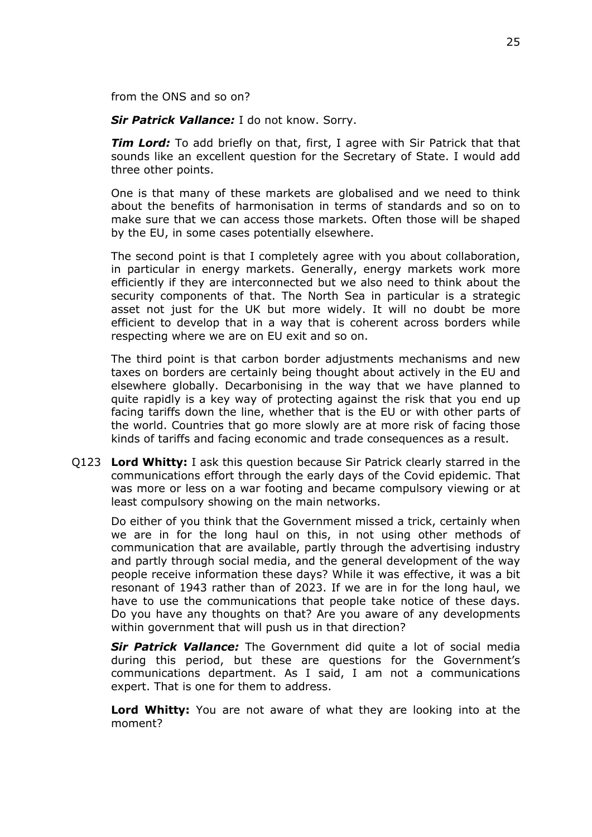from the ONS and so on?

*Sir Patrick Vallance:* I do not know. Sorry.

*Tim Lord:* To add briefly on that, first, I agree with Sir Patrick that that sounds like an excellent question for the Secretary of State. I would add three other points.

One is that many of these markets are globalised and we need to think about the benefits of harmonisation in terms of standards and so on to make sure that we can access those markets. Often those will be shaped by the EU, in some cases potentially elsewhere.

The second point is that I completely agree with you about collaboration, in particular in energy markets. Generally, energy markets work more efficiently if they are interconnected but we also need to think about the security components of that. The North Sea in particular is a strategic asset not just for the UK but more widely. It will no doubt be more efficient to develop that in a way that is coherent across borders while respecting where we are on EU exit and so on.

The third point is that carbon border adjustments mechanisms and new taxes on borders are certainly being thought about actively in the EU and elsewhere globally. Decarbonising in the way that we have planned to quite rapidly is a key way of protecting against the risk that you end up facing tariffs down the line, whether that is the EU or with other parts of the world. Countries that go more slowly are at more risk of facing those kinds of tariffs and facing economic and trade consequences as a result.

Q123 **Lord Whitty:** I ask this question because Sir Patrick clearly starred in the communications effort through the early days of the Covid epidemic. That was more or less on a war footing and became compulsory viewing or at least compulsory showing on the main networks.

Do either of you think that the Government missed a trick, certainly when we are in for the long haul on this, in not using other methods of communication that are available, partly through the advertising industry and partly through social media, and the general development of the way people receive information these days? While it was effective, it was a bit resonant of 1943 rather than of 2023. If we are in for the long haul, we have to use the communications that people take notice of these days. Do you have any thoughts on that? Are you aware of any developments within government that will push us in that direction?

*Sir Patrick Vallance:* The Government did quite a lot of social media during this period, but these are questions for the Government's communications department. As I said, I am not a communications expert. That is one for them to address.

**Lord Whitty:** You are not aware of what they are looking into at the moment?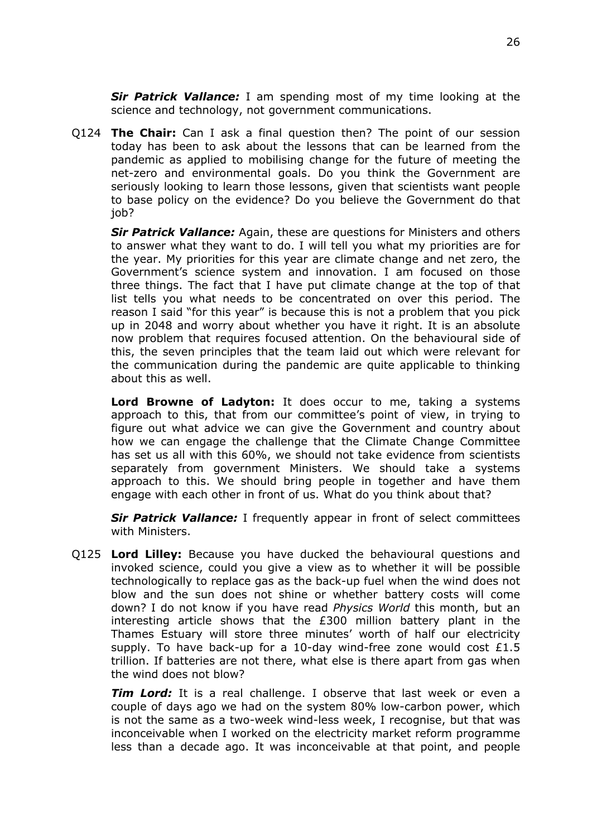*Sir Patrick Vallance:* I am spending most of my time looking at the science and technology, not government communications.

Q124 **The Chair:** Can I ask a final question then? The point of our session today has been to ask about the lessons that can be learned from the pandemic as applied to mobilising change for the future of meeting the net-zero and environmental goals. Do you think the Government are seriously looking to learn those lessons, given that scientists want people to base policy on the evidence? Do you believe the Government do that iob?

*Sir Patrick Vallance:* Again, these are questions for Ministers and others to answer what they want to do. I will tell you what my priorities are for the year. My priorities for this year are climate change and net zero, the Government's science system and innovation. I am focused on those three things. The fact that I have put climate change at the top of that list tells you what needs to be concentrated on over this period. The reason I said "for this year" is because this is not a problem that you pick up in 2048 and worry about whether you have it right. It is an absolute now problem that requires focused attention. On the behavioural side of this, the seven principles that the team laid out which were relevant for the communication during the pandemic are quite applicable to thinking about this as well.

**Lord Browne of Ladyton:** It does occur to me, taking a systems approach to this, that from our committee's point of view, in trying to figure out what advice we can give the Government and country about how we can engage the challenge that the Climate Change Committee has set us all with this 60%, we should not take evidence from scientists separately from government Ministers. We should take a systems approach to this. We should bring people in together and have them engage with each other in front of us. What do you think about that?

*Sir Patrick Vallance:* I frequently appear in front of select committees with Ministers.

Q125 **Lord Lilley:** Because you have ducked the behavioural questions and invoked science, could you give a view as to whether it will be possible technologically to replace gas as the back-up fuel when the wind does not blow and the sun does not shine or whether battery costs will come down? I do not know if you have read *Physics World* this month, but an interesting article shows that the £300 million battery plant in the Thames Estuary will store three minutes' worth of half our electricity supply. To have back-up for a 10-day wind-free zone would cost  $£1.5$ trillion. If batteries are not there, what else is there apart from gas when the wind does not blow?

*Tim Lord:* It is a real challenge. I observe that last week or even a couple of days ago we had on the system 80% low-carbon power, which is not the same as a two-week wind-less week, I recognise, but that was inconceivable when I worked on the electricity market reform programme less than a decade ago. It was inconceivable at that point, and people